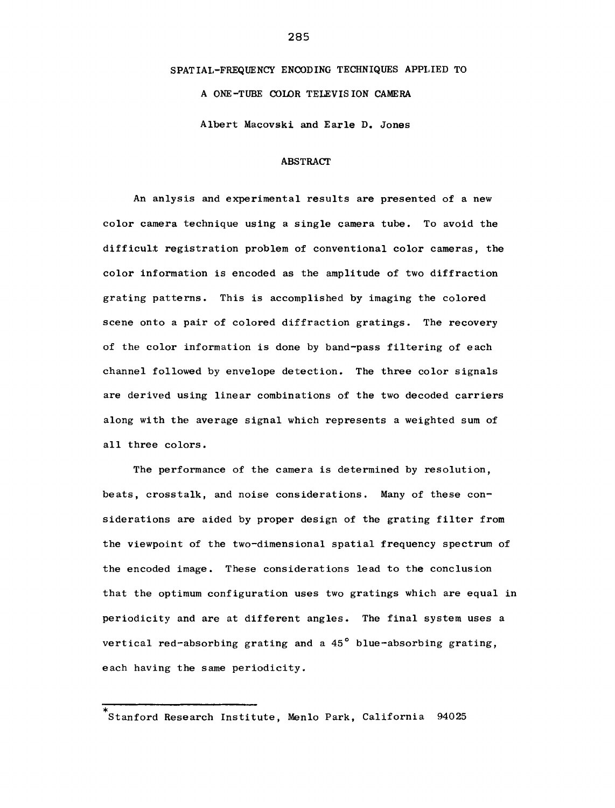# SPATIAL-FREQUENCY ENCODING TECHNIQUES APPLIED TO A ONE-TUBE COLOR TELEVISION CAMERA

Albert Macovski and Earle D. Jones

#### ABSTRACT

An anlysis and experimental results are presented of a new color camera technique using a single camera tube. To avoid the difficult registration problem of conventional color cameras, the color information is encoded as the amplitude of two diffraction grating patterns. This is accomplished by imaging the colored scene onto a pair of colored diffraction gratings. The recovery of the color information is done by band-pass filtering of each channel followed by envelope detection. The three color signals are derived using linear combinations of the two decoded carriers along with the average signal which represents a weighted sum of all three colors.

The performance of the camera is determined by resolution, beats, crosstalk, and noise considerations. Many of these considerations are aided by proper design of the grating filter from the viewpoint of the two-dimensional spatial frequency spectrum of the encoded image. These considerations lead to the conclusion that the optimum configuration uses two gratings which are equal in periodicity and are at different angles. The final system uses a vertical red-absorbing grating and a 45° blue-absorbing grating, each having the same periodicity.

Stanford Research Institute, Menlo Park, California 94025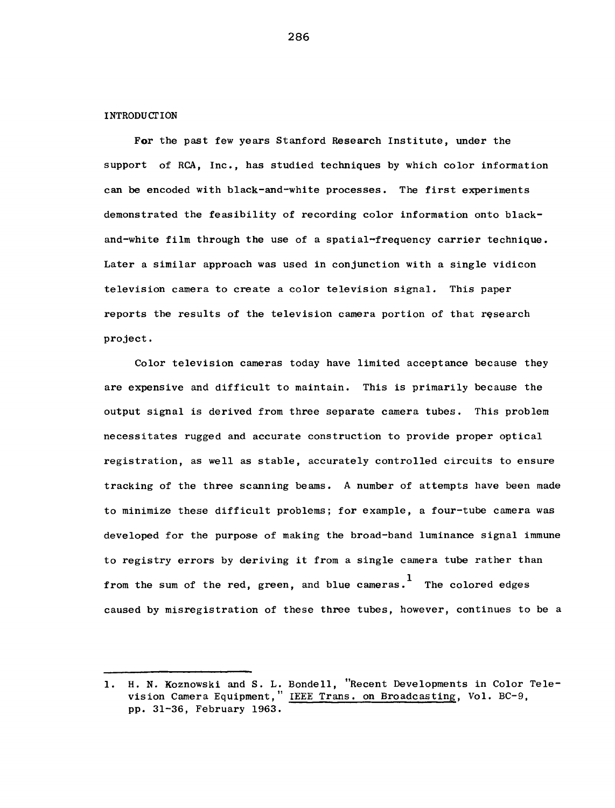#### INTRODUCTION

**For** the past few years Stanford Research Institute, under the support of RCA, Inc., has studied techniques by which color information can be encoded with black-and-white processes. The first experiments demonstrated the feasibility of recording color information onto blackand-white film through the use of a spatial-frequency carrier technique. Later a similar approach was used in conjunction with a single vidicon television camera to create a color television signal. This paper reports the results of the television camera portion of that research project.

Color television cameras today have limited acceptance because they are expensive and difficult to maintain. This is primarily because the output signal is derived from three separate camera tubes. This problem necessitates rugged and accurate construction to provide proper optical registration, as well as stable, accurately controlled circuits to ensure tracking of the three scanning beams. A number of attempts have been made to minimize these difficult problems; for example, a four-tube camera was developed for the purpose of making the broad-band luminance signal immune to registry errors by deriving it from a single camera tube rather than from the sum of the red, green, and blue cameras.  $\begin{array}{cc} 1 & \text{The colored edges} \end{array}$ caused by misregistration of these three tubes, however, continues to be a

<sup>1.</sup> H. N. Koznowski and S. L. Bondell, "Recent Developments in Color Television Camera Equipment," IEEE Trans. on Broadcasting, Vol. BC-9, pp. 31-36, February 1963.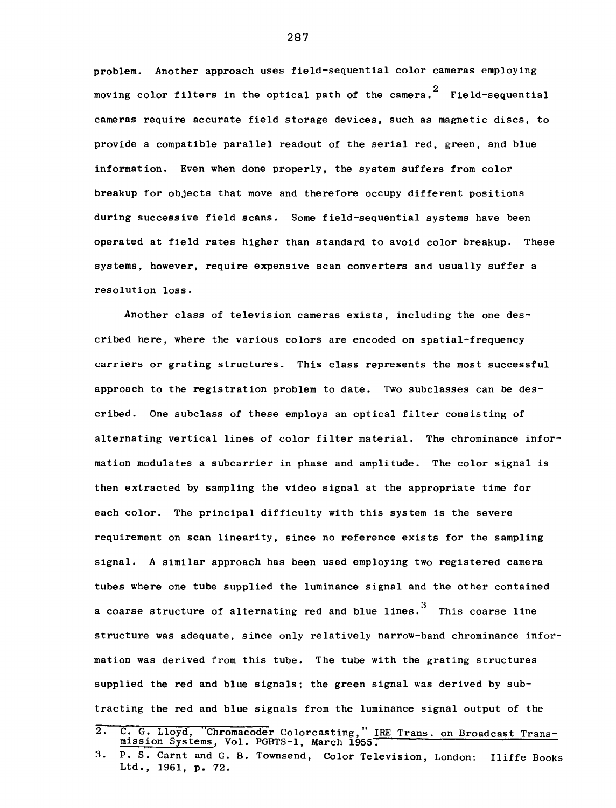problem. Another approach uses field-sequential color cameras employing moving color filters in the optical path of the camera.<sup>2</sup> Field-sequential cameras require accurate field storage devices, such as magnetic discs, to provide a compatible parallel readout of the serial red, green, and blue information. Even when done properly, the system suffers from color breakup for objects that move and therefore occupy different positions during successive field scans. Some field-sequential systems have been operated at field rates higher than standard to avoid color breakup. These systems, however, require expensive scan converters and usually suffer a resolution loss.

Another class of television cameras exists, including the one described here, where the various colors are encoded on spatial-frequency carriers or grating structures. This class represents the most successful approach to the registration problem to date. Two subclasses can be described. One subclass of these employs an optical filter consisting of alternating vertical lines of color filter material. The chrominance information modulates a subcarrier in phase and amplitude. The color signal is then extracted by sampling the video signal at the appropriate time for each color. The principal difficulty with this system is the severe requirement on scan linearity, since no reference exists for the sampling signal. A similar approach has been used employing two registered camera tubes where one tube supplied the luminance signal and the other contained a coarse structure of alternating red and blue lines. 3 This coarse line structure was adequate, since only relatively narrow-band chrominance information was derived from this tube. The tube with the grating structures supplied the red and blue signals; the green signal was derived by subtracting the red and blue signals from the luminance signal output of the

<sup>2.</sup> C. G. Lloyd, "Chromacoder Colorcasting," IRE Trans. on Broadcast Transmission Systems, Vol. PGBTS-1, March 1955.

<sup>3.</sup> P. S. Carnt and G. B. Townsend, Color Television, London: Iliffe Books Ltd., 1961, p. 72.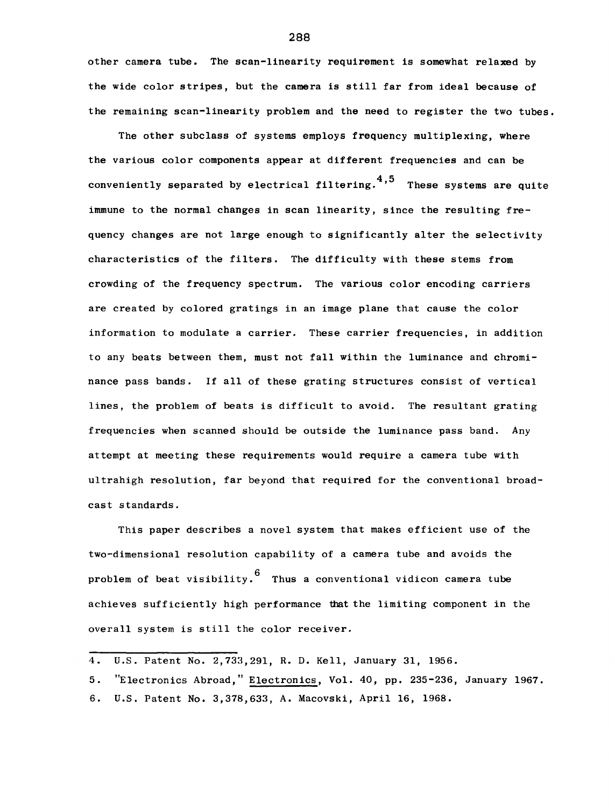other camera tube. The scan-linearity requirement is somewhat relaxed by the wide color stripes, but the camera is still far from ideal because of the remaining scan-linearity problem and the need to register the two tubes.

The other subclass of systems employs frequency multiplexing, where the various color components appear at different frequencies and can be conveniently separated by electrical filtering.<sup>4,5</sup> These systems are quite immune to the normal changes in scan linearity, since the resulting frequency changes are not large enough to significantly alter the selectivity characteristics of the filters. The difficulty with these stems from crowding of the frequency spectrum. The various color encoding carriers are created by colored gratings in an image plane that cause the color information to modulate a carrier. These carrier frequencies, in addition to any beats between them, must not fall within the luminance and chrominance pass bands. If all of these grating structures consist of vertical lines, the problem of beats is difficult to avoid. The resultant grating frequencies when scanned should be outside the luminance pass band. Any attempt at meeting these requirements would require a camera tube with ultrahigh resolution, far beyond that required for the conventional broadcast standards.

This paper describes a novel system that makes efficient use of the two-dimensional resolution capability of a camera tube and avoids the problem of beat visibility.  $\begin{bmatrix} 6 \\ 7 \end{bmatrix}$  Thus a conventional vidicon camera tube achieves sufficiently high performance that the limiting component in the overall system is still the color receiver.

<sup>4.</sup> U.S. Patent No. 2,733,291, R. D. Kell, January 31, 1956.

<sup>5. &</sup>quot;Electronics Abroad," Electronics, Vol. 40, pp. 235-236, January 1967. 6. U.S. Patent No. 3,378,633, A. Macovski, April 16, 1968.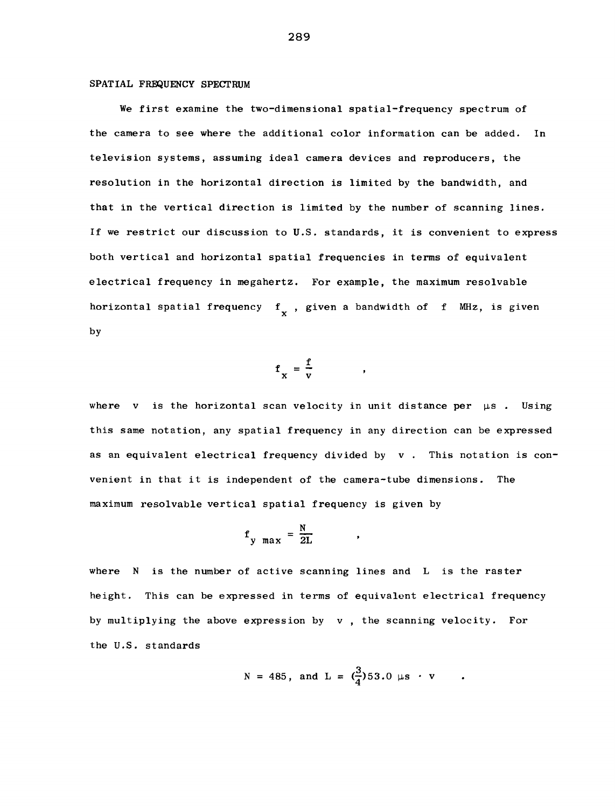### SPATIAL FREQUENCY SPECTRUM

We first examine the two-dimensional spatial-frequency spectrum of the camera to see where the additional color information can be added. In television systems, assuming ideal camera devices and reproducers, the resolution in the horizontal direction is limited by the bandwidth, and that in the vertical direction is limited by the number of scanning lines. If we restrict our discussion to U.S. standards, it is convenient to express both vertical and horizontal spatial frequencies in terms of equivalent electrical frequency in megahertz. For example, the maximum resolvable horizontal spatial frequency  $f_{\mathbf{y}}$ , given a bandwidth of f MHz, is given by

$$
f_x = \frac{f}{v}
$$

where v is the horizontal scan velocity in unit distance per  $\mu$ s. Using this same notation, any spatial frequency in any direction can be expressed as an equivalent electrical frequency divided by v . This notation is convenient in that it is independent of the camera-tube dimensions. The maximum resolvable vertical spatial frequency is given by

$$
f_{\text{y max}} = \frac{N}{2L}
$$

where N is the number of active scanning lines and L is the raster height. This can be expressed in terms of equivalent electrical frequency by multiplying the above expression by v , the scanning velocity. For the U.S. standards

$$
N = 485
$$
, and L =  $(\frac{3}{4})53.0 \mu s \cdot v$ 

 $\pmb{\ast}$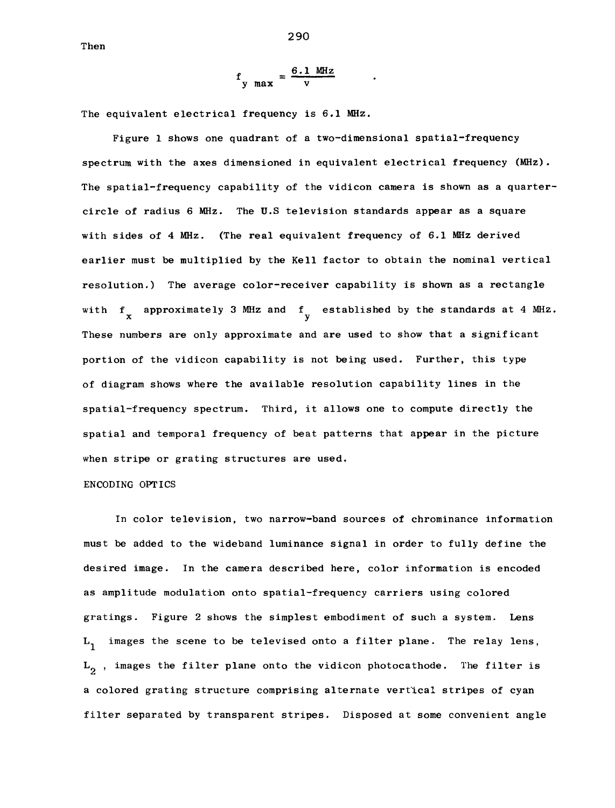Then

$$
f_{\text{y max}} = \frac{6.1 \text{ MHz}}{v}
$$

The equivalent electrical frequency is 6.1 MHz.

Figure 1 shows one quadrant of a two-dimensional spatial-frequency spectrum with the axes dimensioned in equivalent electrical frequency (MHz). The spatial-frequency capability of the vidicon camera is shown as a quartercircle of radius 6 MHz. The U.S television standards appear as a square with sides of 4 MHz. (The real equivalent frequency of 6.1 MHz derived earlier must be multiplied by the Kell factor to obtain the nominal vertical resolution.) The average color-receiver capability is shown as a rectangle with  $f_{\bf x}$  approximately 3 MHz and  $f_{\bf y}$  established by the standards at 4 MHz. These numbers are only approximate and are used to show that a significant portion of the vidicon capability is not being used. Further, this type of diagram shows where the available resolution capability lines in the spatial-frequency spectrum. Third, it allows one to compute directly the spatial and temporal frequency of beat patterns that appear in the picture when stripe or grating structures are used.

## ENCODING OPTICS

In color television, two narrow-band sources of chrominance information must be added to the wideband luminance signal in order to fully define the desired image. In the camera described here, color information is encoded as amplitude modulation onto spatial-frequency carriers using colored gratings. Figure 2 shows the simplest embodiment of such a system. Lens  $L_1$  images the scene to be televised onto a filter plane. The relay lens,  $L_0$ , images the filter plane onto the vidicon photocathode. The filter is a colored grating structure comprising alternate vertical stripes of cyan filter separated by transparent stripes. Disposed at some convenient angle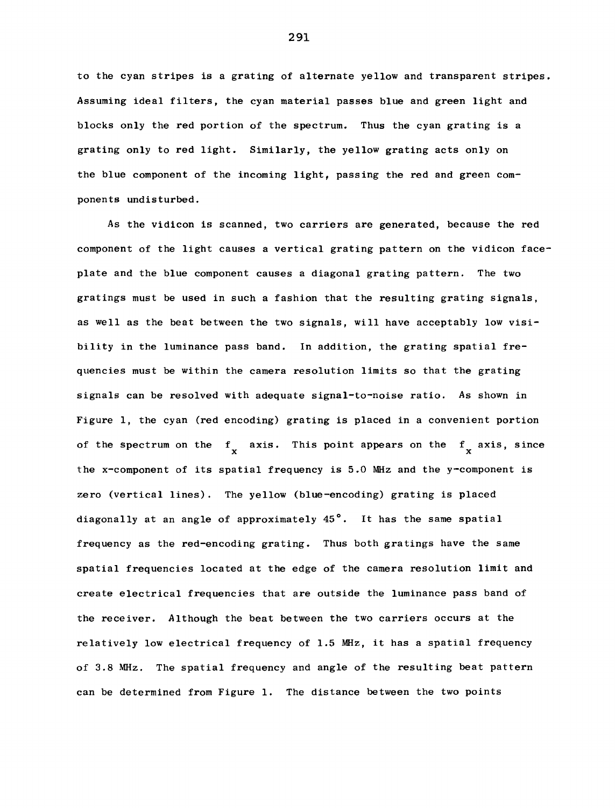to the cyan stripes is a grating of alternate yellow and transparent stripes. Assuming ideal filters, the cyan material passes blue and green light and blocks only the red portion of the spectrum. Thus the cyan grating is a grating only to red light. Similarly, the yellow grating acts only on the blue component of the incoming light, passing the red and green components undisturbed.

As the vidicon is scanned, two carriers are generated, because the red component of the light causes a vertical grating pattern on the vidicon faceplate and the blue component causes a diagonal grating pattern. The two gratings must be used in such a fashion that the resulting grating signals, as well as the beat between the two signals, will have acceptably low visibility in the luminance pass band. In addition, the grating spatial frequencies must be within the camera resolution limits so that the grating signals can be resolved with adequate signal-to-noise ratio. As shown in Figure 1, the cyan (red encoding) grating is placed in a convenient portion of the spectrum on the  $f_x$  axis. This point appears on the  $f_x$  axis, since the x-component of its spatial frequency is 5.0 MHz and the y-component is zero (vertical lines). The yellow (blue-encoding) grating is placed diagonally at an angle of approximately 45°. It has the same spatial frequency as the red-encoding grating. Thus both gratings have the same spatial frequencies located at the edge of the camera resolution limit and create electrical frequencies that are outside the luminance pass band of the receiver. Although the beat between the two carriers occurs at the relatively low electrical frequency of 1.5 MHz, it has a spatial frequency of 3.8 MHz. The spatial frequency and angle of the resulting beat pattern can be determined from Figure 1. The distance between the two points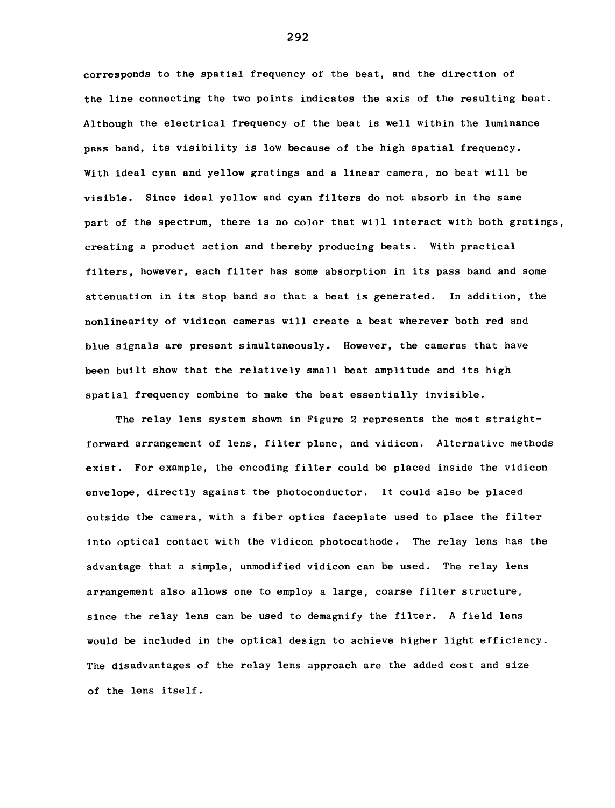corresponds to the spatial frequency of the beat, and the direction of the line connecting the two points indicates the axis of the resulting beat. Although the electrical frequency of the beat is well within the luminance pass band, its visibility is low because of the high spatial frequency. With ideal cyan and yellow gratings and a linear camera, no beat will be visible. Since ideal yellow and cyan filters do not absorb in the same part of the spectrum, there is no color that will interact with both gratings, creating a product action and thereby producing beats. With practical filters, however, each filter has some absorption in its pass band and some attenuation in its stop band so that a beat is generated. In addition, the nonlinearity of vidicon cameras will create a beat wherever both red and blue signals are present simultaneously. However, the cameras that have been built show that the relatively small beat amplitude and its high spatial frequency combine to make the beat essentially invisible.

The relay lens system shown in Figure 2 represents the most straightforward arrangement of lens, filter plane, and vidicon. Alternative methods exist. For example, the encoding filter could be placed inside the vidicon envelope, directly against the photoconductor. It could also be placed outside the camera, with a fiber optics faceplate used to place the filter into optical contact with the vidicon photocathode. The relay lens has the advantage that a simple, unmodified vidicon can be used. The relay lens arrangement also allows one to employ a large, coarse filter structure, since the relay lens can be used to demagnify the filter. A field lens would be included in the optical design to achieve higher light efficiency. The disadvantages of the relay lens approach are the added cost and size of the lens itself.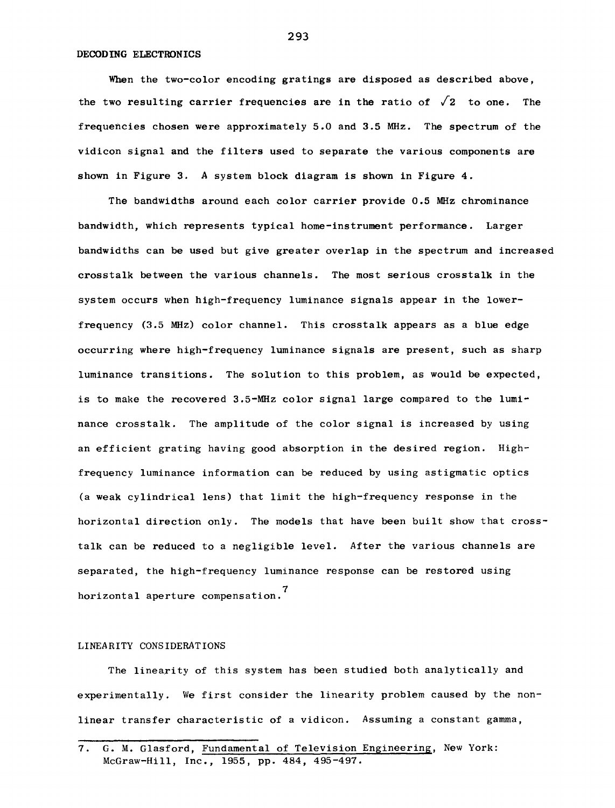#### DECODING ELECTRONICS

When the two-color encoding gratings are disposed as described above, the two resulting carrier frequencies are in the ratio of  $\sqrt{2}$  to one. The frequencies chosen were approximately 5.0 and 3.5 MHz. The spectrum of the vidicon signal and the filters used to separate the various components are shown in Figure 3. A system block diagram is shown in Figure 4.

The bandwidths around each color carrier provide 0.5 MHz chrominance bandwidth, which represents typical home-instrument performance. Larger bandwidths can be used but give greater overlap in the spectrum and increased crosstalk between the various channels. The most serious crosstalk in the system occurs when high-frequency luminance signals appear in the lowerfrequency (3.5 MHz) color channel. This crosstalk appears as a blue edge occurring where high-frequency luminance signals are present, such as sharp luminance transitions. The solution to this problem, as would be expected, is to make the recovered 3.5-MHz color signal large compared to the luminance crosstalk. The amplitude of the color signal is increased by using an efficient grating having good absorption in the desired region. Highfrequency luminance information can be reduced by using astigmatic optics (a weak cylindrical lens) that limit the high-frequency response in the horizontal direction only. The models that have been built show that crosstalk can be reduced to a negligible level. After the various channels are separated, the high-frequency luminance response can be restored using horizontal aperture compensation.<sup>7</sup>

## LINEARITY CONSIDERATIONS

The linearity of this system has been studied both analytically and experimentally. We first consider the linearity problem caused by the nonlinear transfer characteristic of a vidicon. Assuming a constant gamma,

<sup>7.</sup> G. M. Glasford, Fundamental of Television Engineering, New York: McGraw-Hill, Inc., 1955, pp. 484, 495-497.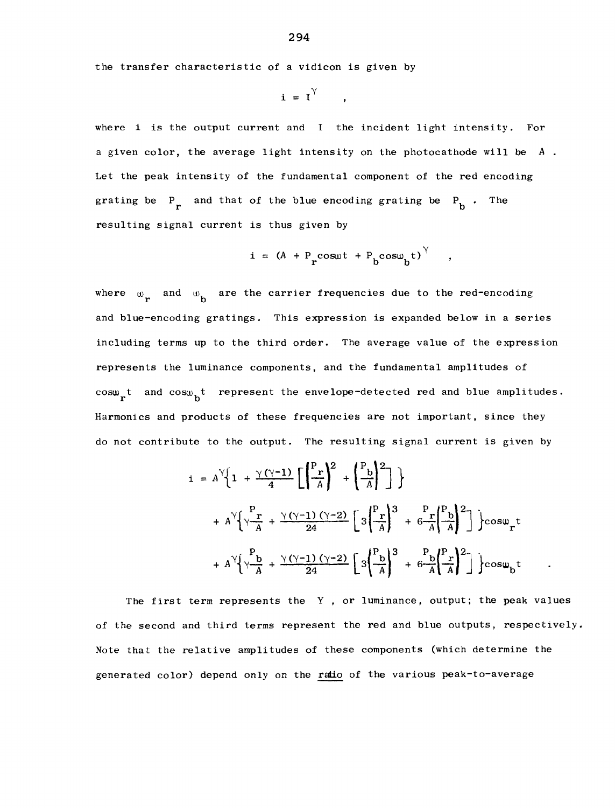the transfer characteristic of a vidicon is given by

$$
\mathbf{i} = \mathbf{I}^{\gamma}
$$

where i is the output current and I the incident light intensity. For a given color, the average light intensity on the photocathode will be *A*  Let the peak intensity of the fundamental component of the red encoding grating be  $P_r$  and that of the blue encoding grating be  $P_b$ . The resulting signal current is thus given by

$$
i = (A + P_{r} \cos \omega t + P_{b} \cos \omega_{b} t)^{\gamma}
$$

where  $\omega_{\mathbf{r}}$  and  $\omega_{\mathbf{b}}$  are the carrier frequencies due to the red-encoding and blue-encoding gratings. This expression is expanded below in a series including terms up to the third order. The average value of the expression represents the luminance components, and the fundamental amplitudes of  $cos\omega_{\mathbf{k}}t$  and  $cos\omega_{\mathbf{k}}t$  represent the envelope-detected red and blue amplitudes. Harmonics and products of these frequencies are not important, since they do not contribute to the output. The resulting signal current is given by

$$
i = A^{\gamma} \left\{ 1 + \frac{\gamma (\gamma - 1)}{4} \left[ \left( \frac{P_r}{A} \right)^2 + \left( \frac{P_b}{A} \right)^2 \right] \right\}
$$
  
+  $A^{\gamma} \left\{ \frac{P_r}{A} + \frac{\gamma (\gamma - 1) (\gamma - 2)}{24} \left[ 3 \left( \frac{P_r}{A} \right)^3 + 6 \frac{P_r}{A} \left( \frac{P_b}{A} \right)^2 \right] \right\} \cos \omega_r t$   
+  $A^{\gamma} \left\{ \frac{P_b}{A} + \frac{\gamma (\gamma - 1) (\gamma - 2)}{24} \left[ 3 \left( \frac{P_b}{A} \right)^3 + 6 \frac{P_b}{A} \left( \frac{P_r}{A} \right)^2 \right] \right\} \cos \omega_b t$ 

The first term represents the Y , or luminance, output; the peak values of the second and third terms represent the red and blue outputs, respectively. Note that the relative amplitudes of these components (which determine the generated color) depend only on the ratio of the various peak-to-average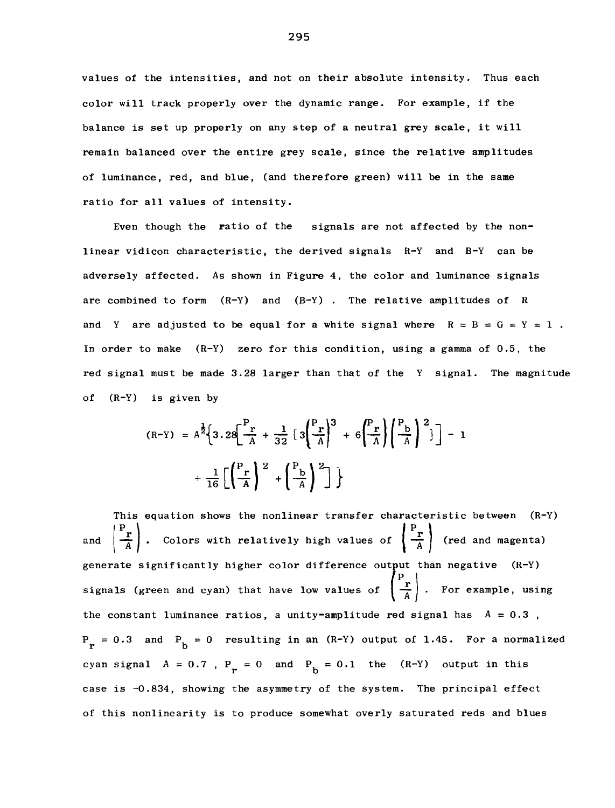values of the intensities, and not on their absolute intensity. Thus each color will track properly over the dynamic range. For example, if the balance is set up properly on any step of a neutral grey scale, it will remain balanced over the entire grey scale, since the relative amplitudes of luminance, red, and blue, (and therefore green) will be in the same ratio for all values of intensity.

Even though the ratio of the signals are not affected by the nonlinear vidicon characteristic, the derived signals R-Y and B-Y can be adversely affected. As shown in Figure 4, the color and luminance signals are combined to form  $(R-Y)$  and  $(B-Y)$ . The relative amplitudes of R and Y are adjusted to be equal for a white signal where  $R = B = G = Y = 1$ . In order to make (R-Y) zero for this condition, using a gamma of 0.5, the red signal must be made 3.28 larger than that of the Y signal. The magnitude of (R-Y) is given by

$$
(R-Y) = A^{\frac{1}{2}} \left\{ 3.28 \left[ \frac{P_r}{A} + \frac{1}{32} \left\{ 3 \left( \frac{P_r}{A} \right)^3 + 6 \left( \frac{P_r}{A} \right) \left( \frac{P_b}{A} \right)^2 \right\} \right] - 1 + \frac{1}{16} \left[ \left( \frac{P_r}{A} \right)^2 + \left( \frac{P_b}{A} \right)^2 \right] \right\}
$$

This equation shows the nonlinear transfer characteristic between (R-Y) and  $\left(\frac{P_r}{A}\right)$ . Colors with relatively high values of  $\left(\frac{P_r}{A}\right)$  (red and magenta) generate significantly higher color difference output than negative (R-Y) signals (green and cyan) that have low values of  $\left(\frac{P_{r}}{A}\right)$ . For example, using the constant luminance ratios, a unity-amplitude red signal has  $A = 0.3$ ,  $P_r = 0.3$  and  $P_b = 0$  resulting in an (R-Y) output of 1.45. For a normalized cyan signal  $A = 0.7$ ,  $P_r = 0$  and  $P_b = 0.1$  the  $(R-Y)$  output in this case is -0.834, showing the asymmetry of the system. The principal effect of this nonlinearity is to produce somewhat overly saturated reds and blues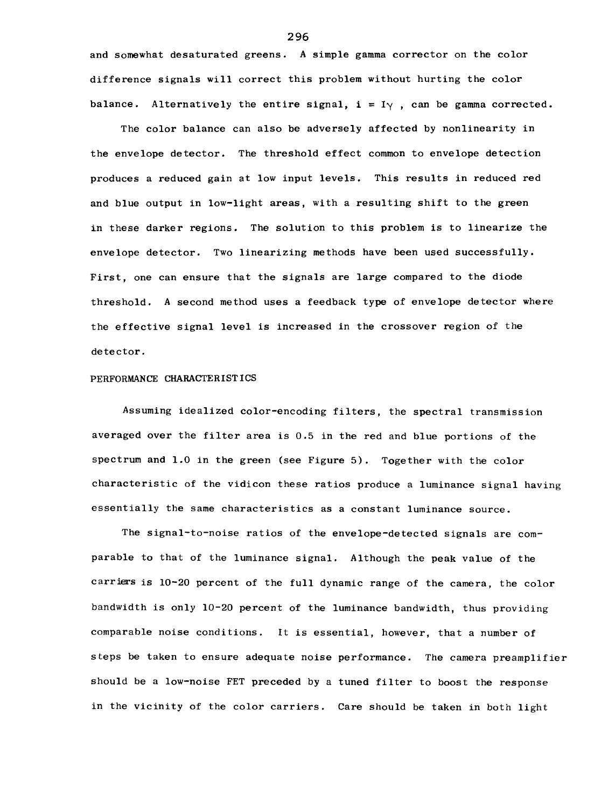and somewhat desaturated greens. A simple gamma corrector on the color difference signals will correct this problem without hurting the color balance. Alternatively the entire signal,  $i = I_{\gamma}$ , can be gamma corrected.

The color balance can also be adversely affected by nonlinearity in the envelope detector. The threshold effect common to envelope detection produces a reduced gain at low input levels. This results in reduced red and blue output in low-light areas, with a resulting shift to the green in these darker regions. The solution to this problem is to linearize the envelope detector. Two linearizing methods have been used successfully. First, one can ensure that the signals are large compared to the diode threshold. A second method uses a feedback type of envelope detector where the effective signal level is increased in the crossover region of the detector.

#### PERFORMANCE CHARACTERISTICS

Assuming idealized color-encoding filters, the spectral transmission averaged over the filter area is 0.5 in the red and blue portions of the spectrum and 1.0 in the green (see Figure 5). Together with the color characteristic of the vidicon these ratios produce a luminance signal having essentially the same characteristics as a constant luminance source.

The signal-to-noise ratios of the envelope-detected signals are comparable to that of the luminance signal. Although the peak value of the carriers is 10-20 percent of the full dynamic range of the camera, the color bandwidth is only 10-20 percent of the luminance bandwidth, thus providing comparable noise conditions. It is essential, however, that a number of steps be taken to ensure adequate noise performance. The camera preamplifier should be a low-noise FET preceded by a tuned filter to boost the response in the vicinity of the color carriers. Care should be taken in both light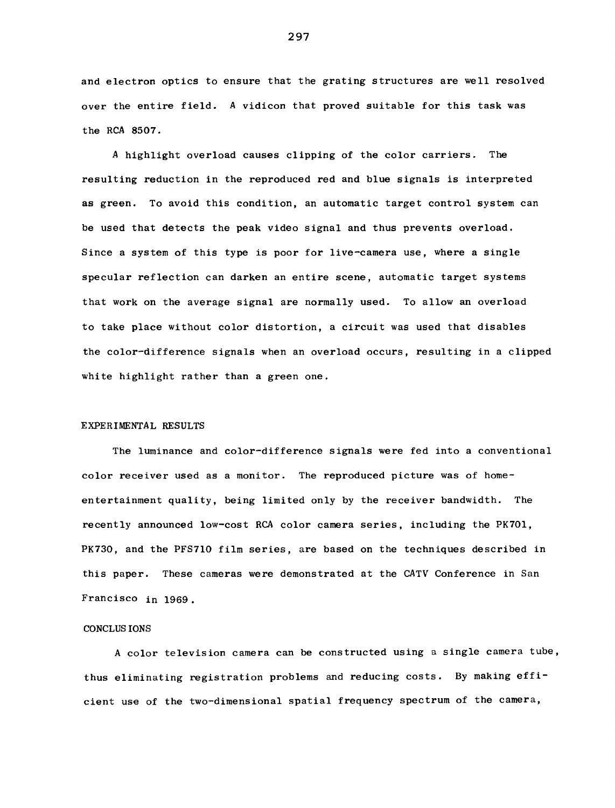and electron optics to ensure that the grating structures are well resolved over the entire field. *A* vidicon that proved suitable for this task was the RCA 8507.

*A* highlight overload causes clipping of the color carriers. The resulting reduction in the reproduced red and blue signals is interpreted as green. To avoid this condition, an automatic target control system can be used that detects the peak video signal and thus prevents overload. Since a system of this type is poor for live-camera use, where a single specular reflection can darken an entire scene, automatic target systems that work on the average signal are normally used. To allow an overload to take place without color distortion, a circuit was used that disables the color-difference signals when an overload occurs, resulting in a clipped white highlight rather than a green one.

#### EXPERIMENTAL RESULTS

The luminance and color-difference signals were fed into a conventional color receiver used as a monitor. The reproduced picture was of homeentertainment quality, being limited only by the receiver bandwidth. The recently announced low-cost RCA color camera series, including the PK701, PK730, and the PFS710 film series, are based on the techniques described in this paper. These cameras were demonstrated at the CATV Conference in San Francisco in 1969.

#### CONCLUS IONS

A color television camera can be constructed using a single camera tube, thus eliminating registration problems and reducing costs. By making efficient use of the two-dimensional spatial frequency spectrum of the camera,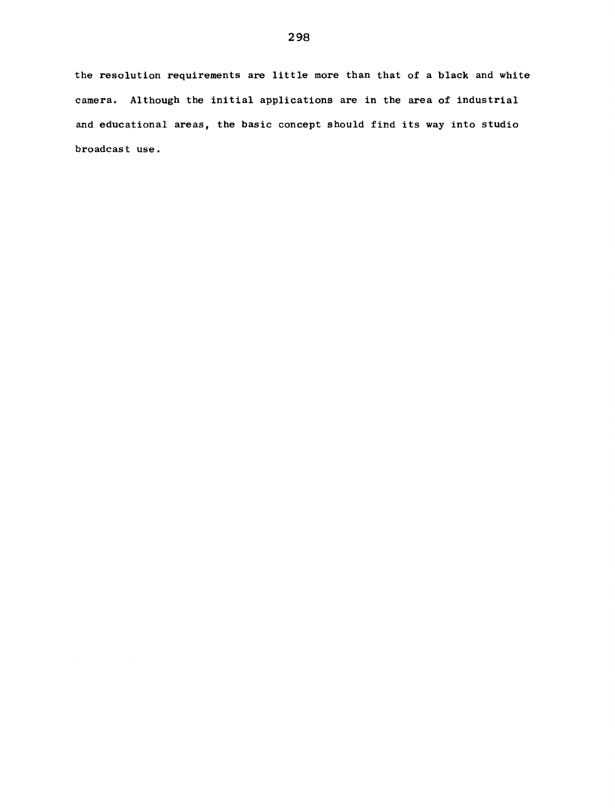the resolution requirements are little more than that of a black and white camera. Although the initial applications are in the area of industrial and educational areas, the basic concept should find its way into studio broadcast use.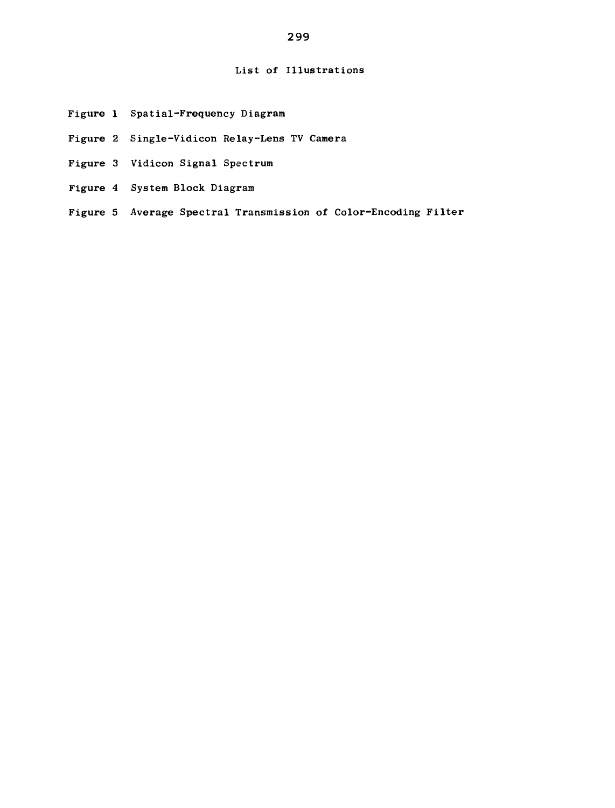## List of Illustrations

- Figure 1 Spatial-Frequency Diagram
- Figure 2 Single-Vidicon Relay-Lens TV Camera
- Figure 3 Vidicon Signal Spectrum
- Figure 4 System Block Diagram
- Figure 5 Average Spectral Transmission of Color-Encoding Filter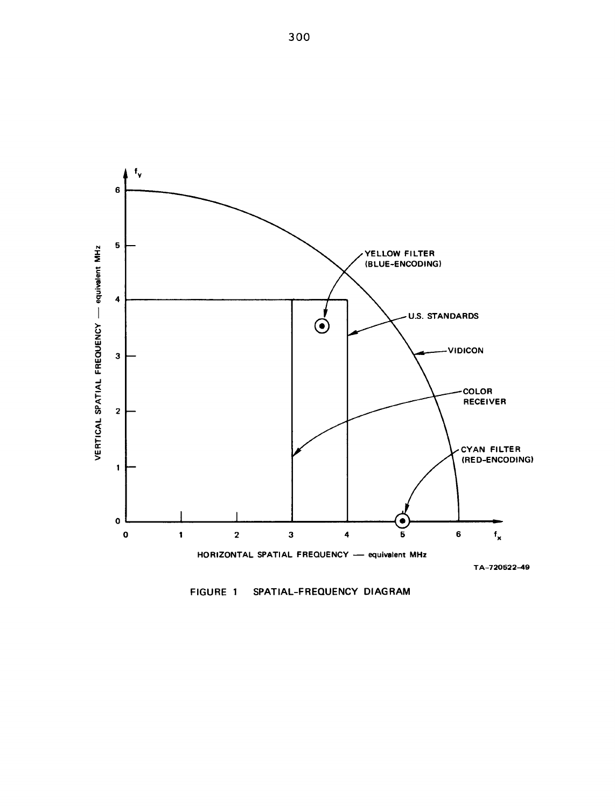

FIGURE 1 SPATIAL-FREQUENCY DIAGRAM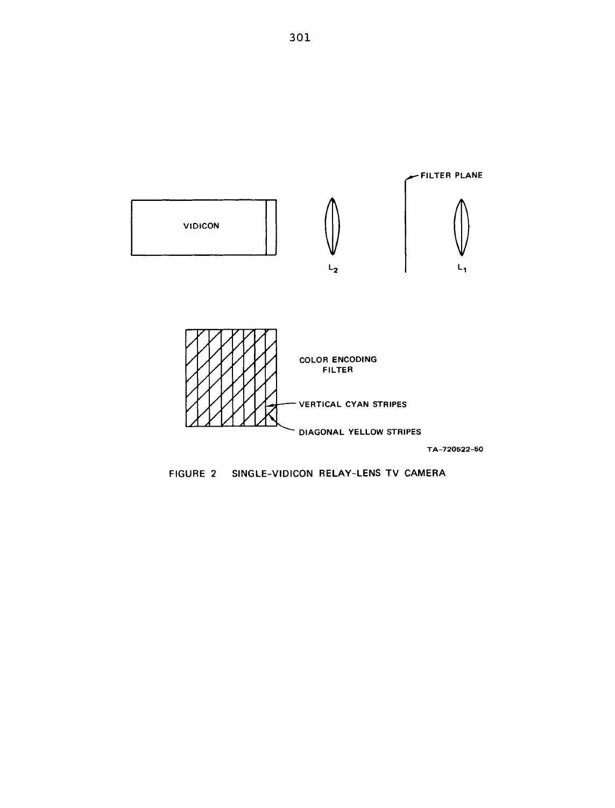

FIGURE 2 SINGLE-VIDICON RELAY-LENS TV CAMERA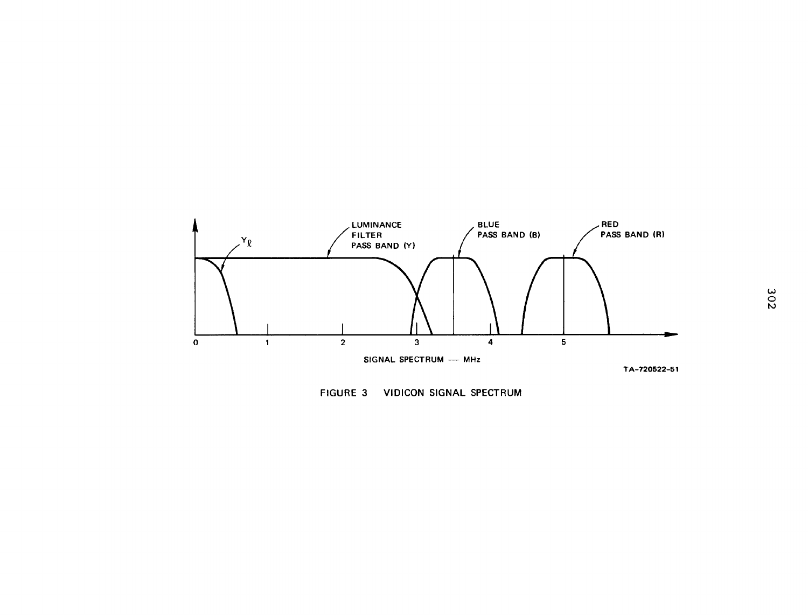

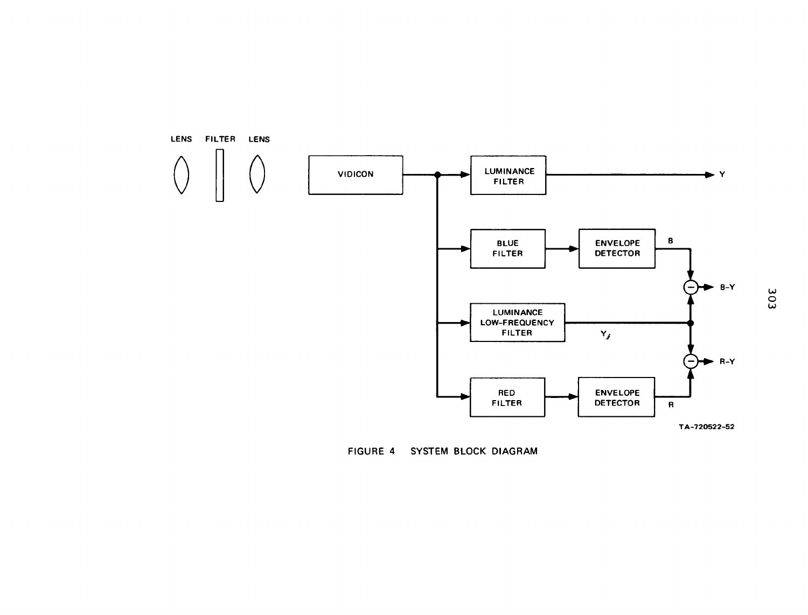

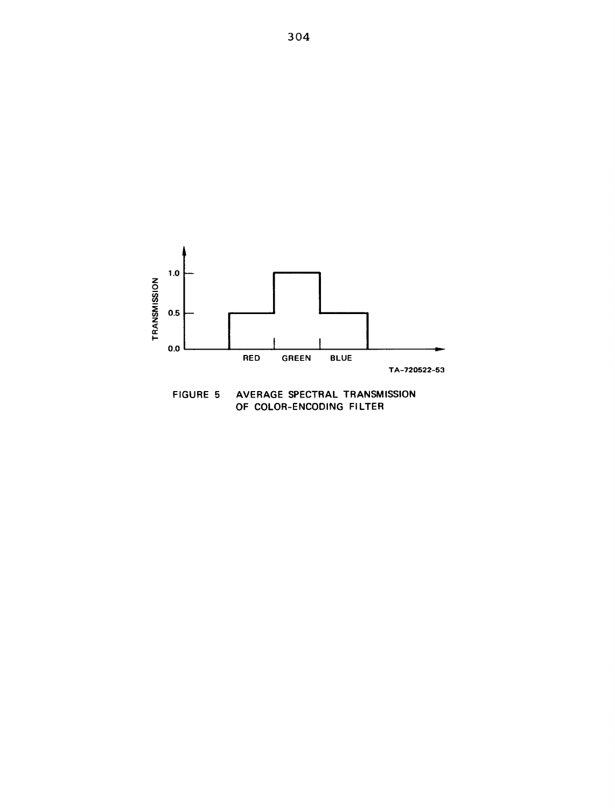